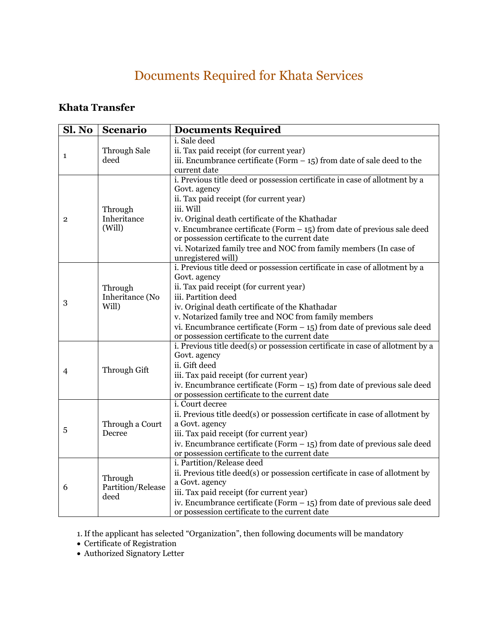# Documents Required for Khata Services

### **Khata Transfer**

| Sl. No         | <b>Scenario</b>                      | <b>Documents Required</b>                                                                                                  |
|----------------|--------------------------------------|----------------------------------------------------------------------------------------------------------------------------|
| 1              |                                      | i. Sale deed                                                                                                               |
|                | Through Sale<br>deed                 | ii. Tax paid receipt (for current year)                                                                                    |
|                |                                      | iii. Encumbrance certificate (Form $-$ 15) from date of sale deed to the                                                   |
|                |                                      | current date                                                                                                               |
|                |                                      | i. Previous title deed or possession certificate in case of allotment by a                                                 |
| $\overline{2}$ | Through<br>Inheritance<br>(Will)     | Govt. agency<br>ii. Tax paid receipt (for current year)                                                                    |
|                |                                      | iii. Will                                                                                                                  |
|                |                                      | iv. Original death certificate of the Khathadar                                                                            |
|                |                                      | v. Encumbrance certificate (Form $-15$ ) from date of previous sale deed                                                   |
|                |                                      | or possession certificate to the current date                                                                              |
|                |                                      | vi. Notarized family tree and NOC from family members (In case of                                                          |
|                |                                      | unregistered will)                                                                                                         |
|                |                                      | i. Previous title deed or possession certificate in case of allotment by a                                                 |
|                |                                      | Govt. agency                                                                                                               |
|                | Through                              | ii. Tax paid receipt (for current year)                                                                                    |
|                | Inheritance (No<br>Will)             | iii. Partition deed                                                                                                        |
| 3              |                                      | iv. Original death certificate of the Khathadar                                                                            |
|                |                                      | v. Notarized family tree and NOC from family members                                                                       |
|                |                                      | vi. Encumbrance certificate (Form $-$ 15) from date of previous sale deed                                                  |
|                |                                      | or possession certificate to the current date                                                                              |
|                | Through Gift                         | i. Previous title deed(s) or possession certificate in case of allotment by a                                              |
|                |                                      | Govt. agency                                                                                                               |
| 4              |                                      | ii. Gift deed                                                                                                              |
|                |                                      | iii. Tax paid receipt (for current year)                                                                                   |
|                |                                      | iv. Encumbrance certificate (Form $-$ 15) from date of previous sale deed<br>or possession certificate to the current date |
|                |                                      | i. Court decree                                                                                                            |
|                | Through a Court<br>Decree            | ii. Previous title deed(s) or possession certificate in case of allotment by                                               |
|                |                                      | a Govt. agency                                                                                                             |
| 5              |                                      | iii. Tax paid receipt (for current year)                                                                                   |
|                |                                      | iv. Encumbrance certificate (Form $-$ 15) from date of previous sale deed                                                  |
|                |                                      | or possession certificate to the current date                                                                              |
| 6              | Through<br>Partition/Release<br>deed | i. Partition/Release deed                                                                                                  |
|                |                                      | ii. Previous title deed(s) or possession certificate in case of allotment by                                               |
|                |                                      | a Govt. agency                                                                                                             |
|                |                                      | iii. Tax paid receipt (for current year)                                                                                   |
|                |                                      | iv. Encumbrance certificate (Form $-$ 15) from date of previous sale deed                                                  |
|                |                                      | or possession certificate to the current date                                                                              |

1. If the applicant has selected "Organization", then following documents will be mandatory

Authorized Signatory Letter

Certificate of Registration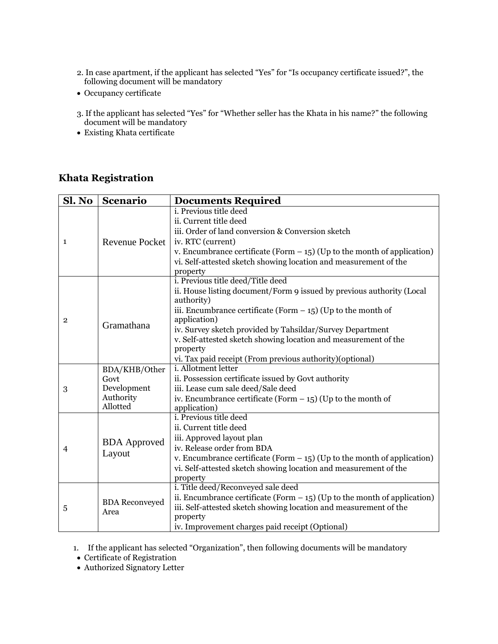- 2. In case apartment, if the applicant has selected "Yes" for "Is occupancy certificate issued?", the following document will be mandatory
- Occupancy certificate
- 3. If the applicant has selected "Yes" for "Whether seller has the Khata in his name?" the following document will be mandatory
- Existing Khata certificate

#### **Khata Registration**

| Sl. No         | <b>Scenario</b>                      | <b>Documents Required</b>                                                      |
|----------------|--------------------------------------|--------------------------------------------------------------------------------|
| 1              | <b>Revenue Pocket</b>                | <i>i. Previous title deed</i>                                                  |
|                |                                      | ii. Current title deed                                                         |
|                |                                      | iii. Order of land conversion & Conversion sketch                              |
|                |                                      | iv. RTC (current)                                                              |
|                |                                      | v. Encumbrance certificate (Form $-$ 15) (Up to the month of application)      |
|                |                                      | vi. Self-attested sketch showing location and measurement of the               |
|                |                                      | property                                                                       |
|                |                                      | i. Previous title deed/Title deed                                              |
|                |                                      | ii. House listing document/Form 9 issued by previous authority (Local          |
|                |                                      | authority)                                                                     |
|                |                                      | iii. Encumbrance certificate (Form $-$ 15) (Up to the month of<br>application) |
| $\overline{2}$ | Gramathana                           | iv. Survey sketch provided by Tahsildar/Survey Department                      |
|                |                                      | v. Self-attested sketch showing location and measurement of the                |
|                |                                      | property                                                                       |
|                |                                      | vi. Tax paid receipt (From previous authority)(optional)                       |
|                | BDA/KHB/Other                        | i. Allotment letter                                                            |
| 3              | Govt                                 | ii. Possession certificate issued by Govt authority                            |
|                | Development<br>Authority<br>Allotted | iii. Lease cum sale deed/Sale deed                                             |
|                |                                      | iv. Encumbrance certificate (Form $-$ 15) (Up to the month of                  |
|                |                                      | application)                                                                   |
|                | <b>BDA</b> Approved<br>Layout        | <i>i.</i> Previous title deed                                                  |
|                |                                      | ii. Current title deed                                                         |
|                |                                      | iii. Approved layout plan                                                      |
| $\overline{4}$ |                                      | iv. Release order from BDA                                                     |
|                |                                      | v. Encumbrance certificate (Form $-$ 15) (Up to the month of application)      |
|                |                                      | vi. Self-attested sketch showing location and measurement of the               |
|                |                                      | property<br>i. Title deed/Reconveyed sale deed                                 |
|                | <b>BDA</b> Reconveyed<br>Area        | ii. Encumbrance certificate (Form $-$ 15) (Up to the month of application)     |
| 5              |                                      | iii. Self-attested sketch showing location and measurement of the              |
|                |                                      | property                                                                       |
|                |                                      | iv. Improvement charges paid receipt (Optional)                                |

1. If the applicant has selected "Organization", then following documents will be mandatory

Certificate of Registration

Authorized Signatory Letter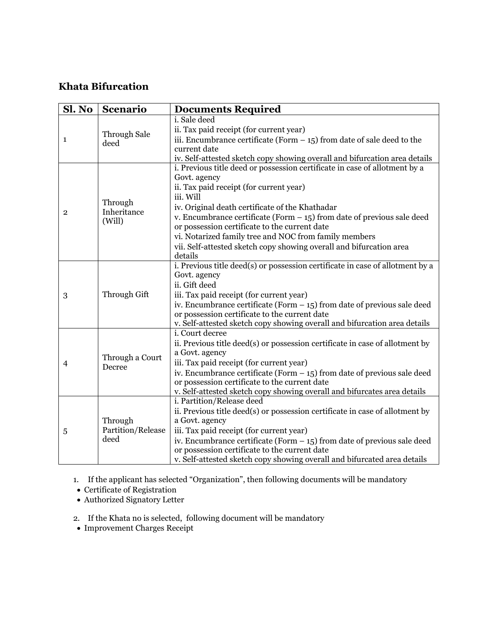## **Khata Bifurcation**

| Sl. No         | <b>Scenario</b>                      | <b>Documents Required</b>                                                                                                  |
|----------------|--------------------------------------|----------------------------------------------------------------------------------------------------------------------------|
| 1              | <b>Through Sale</b><br>deed          | i. Sale deed                                                                                                               |
|                |                                      | ii. Tax paid receipt (for current year)                                                                                    |
|                |                                      | iii. Encumbrance certificate (Form $-15$ ) from date of sale deed to the                                                   |
|                |                                      | current date                                                                                                               |
|                |                                      | iv. Self-attested sketch copy showing overall and bifurcation area details                                                 |
|                | Through<br>Inheritance<br>(Will)     | i. Previous title deed or possession certificate in case of allotment by a                                                 |
|                |                                      | Govt. agency                                                                                                               |
|                |                                      | ii. Tax paid receipt (for current year)                                                                                    |
|                |                                      | iii. Will                                                                                                                  |
| $\overline{2}$ |                                      | iv. Original death certificate of the Khathadar                                                                            |
|                |                                      | v. Encumbrance certificate (Form $-15$ ) from date of previous sale deed                                                   |
|                |                                      | or possession certificate to the current date                                                                              |
|                |                                      | vi. Notarized family tree and NOC from family members                                                                      |
|                |                                      | vii. Self-attested sketch copy showing overall and bifurcation area                                                        |
|                |                                      | details                                                                                                                    |
|                |                                      | i. Previous title deed(s) or possession certificate in case of allotment by a                                              |
|                | Through Gift                         | Govt. agency                                                                                                               |
|                |                                      | ii. Gift deed                                                                                                              |
| 3              |                                      | iii. Tax paid receipt (for current year)                                                                                   |
|                |                                      | iv. Encumbrance certificate (Form $-$ 15) from date of previous sale deed                                                  |
|                |                                      | or possession certificate to the current date                                                                              |
|                |                                      | v. Self-attested sketch copy showing overall and bifurcation area details<br>i. Court decree                               |
|                | Through a Court<br>Decree            |                                                                                                                            |
|                |                                      | ii. Previous title deed(s) or possession certificate in case of allotment by                                               |
|                |                                      | a Govt. agency                                                                                                             |
| $\overline{4}$ |                                      | iii. Tax paid receipt (for current year)                                                                                   |
|                |                                      | iv. Encumbrance certificate (Form $-$ 15) from date of previous sale deed<br>or possession certificate to the current date |
|                |                                      | v. Self-attested sketch copy showing overall and bifurcates area details                                                   |
|                |                                      | i. Partition/Release deed                                                                                                  |
|                | Through<br>Partition/Release<br>deed | ii. Previous title deed(s) or possession certificate in case of allotment by                                               |
| 5              |                                      | a Govt. agency                                                                                                             |
|                |                                      | iii. Tax paid receipt (for current year)                                                                                   |
|                |                                      | iv. Encumbrance certificate (Form $-$ 15) from date of previous sale deed                                                  |
|                |                                      | or possession certificate to the current date                                                                              |
|                |                                      | v. Self-attested sketch copy showing overall and bifurcated area details                                                   |
|                |                                      |                                                                                                                            |

1. If the applicant has selected "Organization", then following documents will be mandatory

- Certificate of Registration
- Authorized Signatory Letter
- 2. If the Khata no is selected, following document will be mandatory
- Improvement Charges Receipt